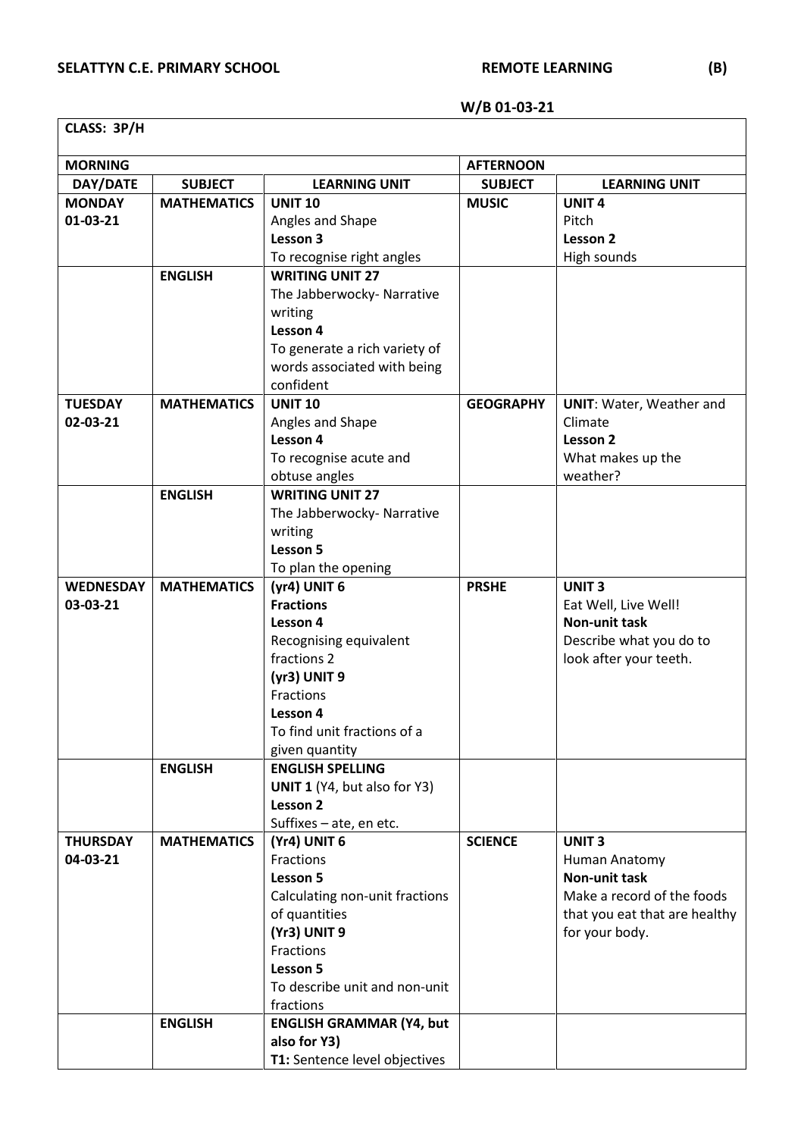## **W/B 01-03-21**

| CLASS: 3P/H      |                    |                                          |                  |                                 |  |  |  |
|------------------|--------------------|------------------------------------------|------------------|---------------------------------|--|--|--|
| <b>MORNING</b>   |                    |                                          | <b>AFTERNOON</b> |                                 |  |  |  |
| DAY/DATE         | <b>SUBJECT</b>     | <b>LEARNING UNIT</b>                     | <b>SUBJECT</b>   | <b>LEARNING UNIT</b>            |  |  |  |
| <b>MONDAY</b>    | <b>MATHEMATICS</b> | <b>UNIT 10</b>                           | <b>MUSIC</b>     | <b>UNIT4</b>                    |  |  |  |
| 01-03-21         |                    | Angles and Shape                         |                  | Pitch                           |  |  |  |
|                  |                    | Lesson 3                                 |                  | Lesson 2                        |  |  |  |
|                  |                    | To recognise right angles                |                  | High sounds                     |  |  |  |
|                  | <b>ENGLISH</b>     | <b>WRITING UNIT 27</b>                   |                  |                                 |  |  |  |
|                  |                    | The Jabberwocky- Narrative               |                  |                                 |  |  |  |
|                  |                    | writing                                  |                  |                                 |  |  |  |
|                  |                    | Lesson 4                                 |                  |                                 |  |  |  |
|                  |                    | To generate a rich variety of            |                  |                                 |  |  |  |
|                  |                    | words associated with being              |                  |                                 |  |  |  |
|                  |                    | confident                                |                  |                                 |  |  |  |
| <b>TUESDAY</b>   | <b>MATHEMATICS</b> | <b>UNIT 10</b>                           | <b>GEOGRAPHY</b> | <b>UNIT: Water, Weather and</b> |  |  |  |
| 02-03-21         |                    | Angles and Shape                         |                  | Climate                         |  |  |  |
|                  |                    | Lesson 4<br>To recognise acute and       |                  | Lesson 2<br>What makes up the   |  |  |  |
|                  |                    | obtuse angles                            |                  | weather?                        |  |  |  |
|                  | <b>ENGLISH</b>     | <b>WRITING UNIT 27</b>                   |                  |                                 |  |  |  |
|                  |                    | The Jabberwocky- Narrative               |                  |                                 |  |  |  |
|                  |                    | writing                                  |                  |                                 |  |  |  |
|                  |                    | Lesson 5                                 |                  |                                 |  |  |  |
|                  |                    | To plan the opening                      |                  |                                 |  |  |  |
| <b>WEDNESDAY</b> | <b>MATHEMATICS</b> | (yr4) UNIT 6                             | <b>PRSHE</b>     | <b>UNIT3</b>                    |  |  |  |
| 03-03-21         |                    | <b>Fractions</b>                         |                  | Eat Well, Live Well!            |  |  |  |
|                  |                    | Lesson 4                                 |                  | <b>Non-unit task</b>            |  |  |  |
|                  |                    | Recognising equivalent                   |                  | Describe what you do to         |  |  |  |
|                  |                    | fractions 2                              |                  | look after your teeth.          |  |  |  |
|                  |                    | (yr3) UNIT 9                             |                  |                                 |  |  |  |
|                  |                    | <b>Fractions</b>                         |                  |                                 |  |  |  |
|                  |                    | Lesson 4                                 |                  |                                 |  |  |  |
|                  |                    | To find unit fractions of a              |                  |                                 |  |  |  |
|                  |                    | given quantity                           |                  |                                 |  |  |  |
|                  | <b>ENGLISH</b>     | <b>ENGLISH SPELLING</b>                  |                  |                                 |  |  |  |
|                  |                    | UNIT 1 (Y4, but also for Y3)<br>Lesson 2 |                  |                                 |  |  |  |
|                  |                    | Suffixes - ate, en etc.                  |                  |                                 |  |  |  |
| <b>THURSDAY</b>  | <b>MATHEMATICS</b> | (Yr4) UNIT 6                             | <b>SCIENCE</b>   | <b>UNIT 3</b>                   |  |  |  |
| 04-03-21         |                    | Fractions                                |                  | Human Anatomy                   |  |  |  |
|                  |                    | Lesson 5                                 |                  | <b>Non-unit task</b>            |  |  |  |
|                  |                    | Calculating non-unit fractions           |                  | Make a record of the foods      |  |  |  |
|                  |                    | of quantities                            |                  | that you eat that are healthy   |  |  |  |
|                  |                    | (Yr3) UNIT 9                             |                  | for your body.                  |  |  |  |
|                  |                    | Fractions                                |                  |                                 |  |  |  |
|                  |                    | Lesson 5                                 |                  |                                 |  |  |  |
|                  |                    | To describe unit and non-unit            |                  |                                 |  |  |  |
|                  |                    | fractions                                |                  |                                 |  |  |  |
|                  | <b>ENGLISH</b>     | <b>ENGLISH GRAMMAR (Y4, but</b>          |                  |                                 |  |  |  |
|                  |                    | also for Y3)                             |                  |                                 |  |  |  |
|                  |                    | T1: Sentence level objectives            |                  |                                 |  |  |  |